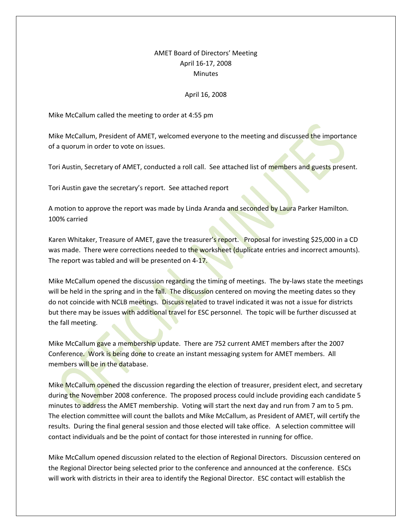## AMET Board of Directors' Meeting April 16-17, 2008 **Minutes**

## April 16, 2008

Mike McCallum called the meeting to order at 4:55 pm

Mike McCallum, President of AMET, welcomed everyone to the meeting and discussed the importance of a quorum in order to vote on issues.

Tori Austin, Secretary of AMET, conducted a roll call. See attached list of members and guests present.

Tori Austin gave the secretary's report. See attached report

A motion to approve the report was made by Linda Aranda and seconded by Laura Parker Hamilton. 100% carried

Karen Whitaker, Treasure of AMET, gave the treasurer's report. Proposal for investing \$25,000 in a CD was made. There were corrections needed to the worksheet (duplicate entries and incorrect amounts). The report was tabled and will be presented on 4-17.

Mike McCallum opened the discussion regarding the timing of meetings. The by-laws state the meetings will be held in the spring and in the fall. The discussion centered on moving the meeting dates so they do not coincide with NCLB meetings. Discuss related to travel indicated it was not a issue for districts but there may be issues with additional travel for ESC personnel. The topic will be further discussed at the fall meeting.

Mike McCallum gave a membership update. There are 752 current AMET members after the 2007 Conference. Work is being done to create an instant messaging system for AMET members. All members will be in the database.

Mike McCallum opened the discussion regarding the election of treasurer, president elect, and secretary during the November 2008 conference. The proposed process could include providing each candidate 5 minutes to address the AMET membership. Voting will start the next day and run from 7 am to 5 pm. The election committee will count the ballots and Mike McCallum, as President of AMET, will certify the results. During the final general session and those elected will take office. A selection committee will contact individuals and be the point of contact for those interested in running for office.

Mike McCallum opened discussion related to the election of Regional Directors. Discussion centered on the Regional Director being selected prior to the conference and announced at the conference. ESCs will work with districts in their area to identify the Regional Director. ESC contact will establish the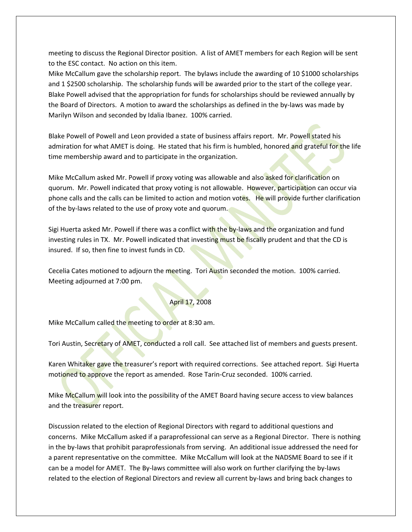meeting to discuss the Regional Director position. A list of AMET members for each Region will be sent to the ESC contact. No action on this item.

Mike McCallum gave the scholarship report. The bylaws include the awarding of 10 \$1000 scholarships and 1 \$2500 scholarship. The scholarship funds will be awarded prior to the start of the college year. Blake Powell advised that the appropriation for funds for scholarships should be reviewed annually by the Board of Directors. A motion to award the scholarships as defined in the by-laws was made by Marilyn Wilson and seconded by Idalia Ibanez. 100% carried.

Blake Powell of Powell and Leon provided a state of business affairs report. Mr. Powell stated his admiration for what AMET is doing. He stated that his firm is humbled, honored and grateful for the life time membership award and to participate in the organization.

Mike McCallum asked Mr. Powell if proxy voting was allowable and also asked for clarification on quorum. Mr. Powell indicated that proxy voting is not allowable. However, participation can occur via phone calls and the calls can be limited to action and motion votes. He will provide further clarification of the by-laws related to the use of proxy vote and quorum.

Sigi Huerta asked Mr. Powell if there was a conflict with the by-laws and the organization and fund investing rules in TX. Mr. Powell indicated that investing must be fiscally prudent and that the CD is insured. If so, then fine to invest funds in CD.

Cecelia Cates motioned to adjourn the meeting. Tori Austin seconded the motion. 100% carried. Meeting adjourned at 7:00 pm.

## April 17, 2008

Mike McCallum called the meeting to order at 8:30 am.

Tori Austin, Secretary of AMET, conducted a roll call. See attached list of members and guests present.

Karen Whitaker gave the treasurer's report with required corrections. See attached report. Sigi Huerta motioned to approve the report as amended. Rose Tarin-Cruz seconded. 100% carried.

Mike McCallum will look into the possibility of the AMET Board having secure access to view balances and the treasurer report.

Discussion related to the election of Regional Directors with regard to additional questions and concerns. Mike McCallum asked if a paraprofessional can serve as a Regional Director. There is nothing in the by-laws that prohibit paraprofessionals from serving. An additional issue addressed the need for a parent representative on the committee. Mike McCallum will look at the NADSME Board to see if it can be a model for AMET. The By-laws committee will also work on further clarifying the by-laws related to the election of Regional Directors and review all current by-laws and bring back changes to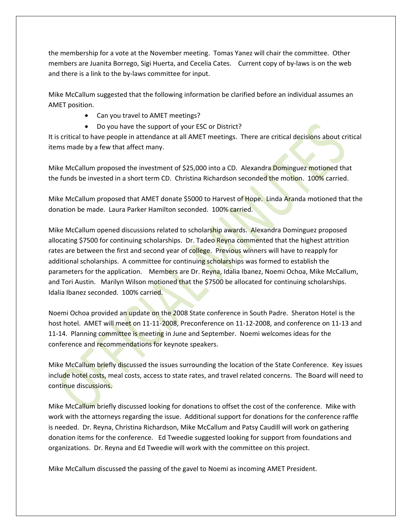the membership for a vote at the November meeting. Tomas Yanez will chair the committee. Other members are Juanita Borrego, Sigi Huerta, and Cecelia Cates. Current copy of by-laws is on the web and there is a link to the by-laws committee for input.

Mike McCallum suggested that the following information be clarified before an individual assumes an AMET position.

- Can you travel to AMET meetings?
- Do you have the support of your ESC or District?

It is critical to have people in attendance at all AMET meetings. There are critical decisions about critical items made by a few that affect many.

Mike McCallum proposed the investment of \$25,000 into a CD. Alexandra Dominguez motioned that the funds be invested in a short term CD. Christina Richardson seconded the motion. 100% carried.

Mike McCallum proposed that AMET donate \$5000 to Harvest of Hope. Linda Aranda motioned that the donation be made. Laura Parker Hamilton seconded. 100% carried.

Mike McCallum opened discussions related to scholarship awards. Alexandra Dominguez proposed allocating \$7500 for continuing scholarships. Dr. Tadeo Reyna commented that the highest attrition rates are between the first and second year of college. Previous winners will have to reapply for additional scholarships. A committee for continuing scholarships was formed to establish the parameters for the application. Members are Dr. Reyna, Idalia Ibanez, Noemi Ochoa, Mike McCallum, and Tori Austin. Marilyn Wilson motioned that the \$7500 be allocated for continuing scholarships. Idalia Ibanez seconded. 100% carried.

Noemi Ochoa provided an update on the 2008 State conference in South Padre. Sheraton Hotel is the host hotel. AMET will meet on 11-11-2008, Preconference on 11-12-2008, and conference on 11-13 and 11-14. Planning committee is meeting in June and September. Noemi welcomes ideas for the conference and recommendations for keynote speakers.

Mike McCallum briefly discussed the issues surrounding the location of the State Conference. Key issues include hotel costs, meal costs, access to state rates, and travel related concerns. The Board will need to continue discussions.

Mike McCallum briefly discussed looking for donations to offset the cost of the conference. Mike with work with the attorneys regarding the issue. Additional support for donations for the conference raffle is needed. Dr. Reyna, Christina Richardson, Mike McCallum and Patsy Caudill will work on gathering donation items for the conference. Ed Tweedie suggested looking for support from foundations and organizations. Dr. Reyna and Ed Tweedie will work with the committee on this project.

Mike McCallum discussed the passing of the gavel to Noemi as incoming AMET President.